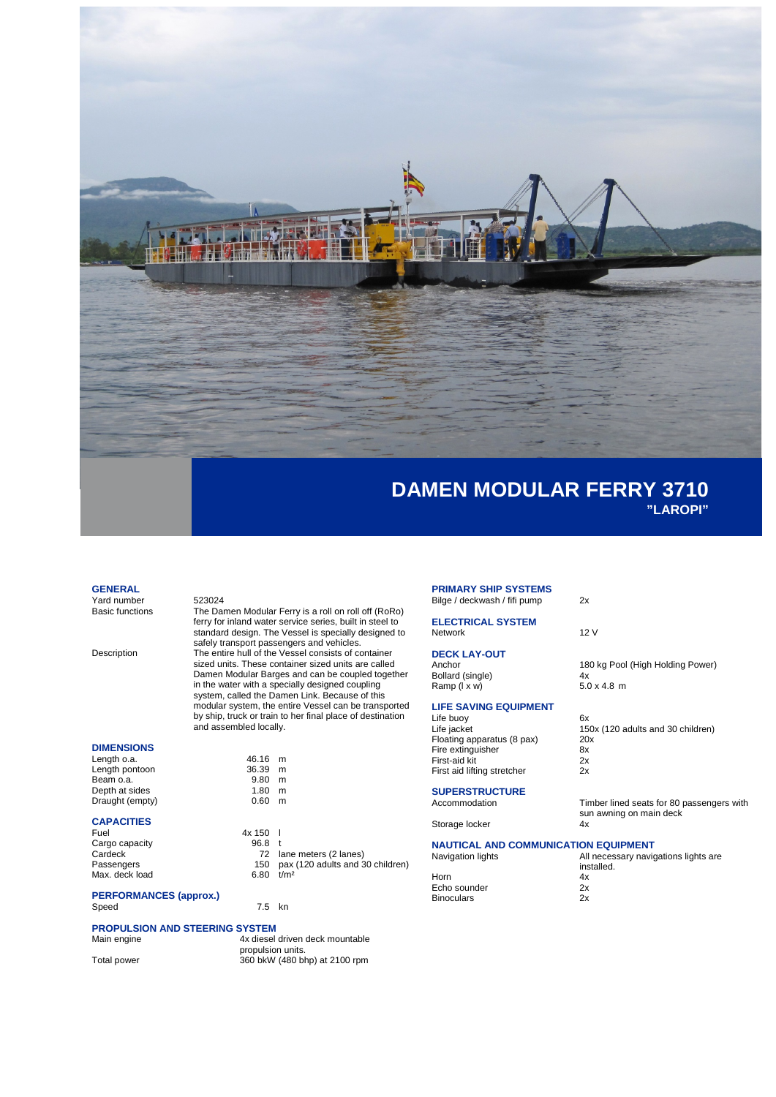

#### **GENERAL**

Yard number 523024<br>Basic functions The Dar

The Damen Modular Ferry is a roll on roll off (RoRo) ferry for inland water service series, built in steel to standard design. The Vessel is specially designed to safely transport passengers and vehicles. Description The entire hull of the Vessel consists of container sized units. These container sized units are called Damen Modular Barges and can be coupled together in the water with a specially designed coupling system, called the Damen Link. Because of this modular system, the entire Vessel can be transported by ship, truck or train to her final place of destination and assembled locally.

 $\frac{46.16}{36.39}$  m

 $0.60$  m

 $7.5$  kn

### **DIMENSIONS**

| 46.16 m |
|---------|
| m       |
| m       |
| m       |
| m       |
|         |

### **CAPACITIES**

| Fuel           | 4x 150            |                                      |
|----------------|-------------------|--------------------------------------|
| Cargo capacity | 96.8 <sub>1</sub> |                                      |
| Cardeck        |                   | 72 lane meters (2 lanes)             |
| Passengers     |                   | 150 pax (120 adults and 30 children) |
| Max. deck load | 6.80              | t/m <sup>2</sup>                     |
|                |                   |                                      |

# **PERFORMANCES (approx.)**

# **PROPULSION AND STEERING SYSTEM**

4x diesel driven deck mountable propulsion units. Total power 360 bkW (480 bhp) at 2100 rpm

#### **PRIMARY SHIP SYSTEMS** Bilge / deckwash / fifi pump 2x

**ELECTRICAL SYSTEM** Network 12 V

# **DECK LAY-OUT**

Bollard (single)  $4x$ <br>
Ramp ( $1 \times w$ )  $5.0 \times 4.8$  m Ramp (I x w)

## **LIFE SAVING EQUIPMENT**

Life buoy 6x<br>
Life iacket 15 Floating apparatus (8 pax) 20<br>Fire extinguisher 8x Fire extinguisher 8x<br>Fire extinguisher 8x<br>First-aid kit 2x First-aid kit 2x<br>First-aid kit 2x<br>First aid lifting stretcher 2x First aid lifting stretcher

# **SUPERSTRUCTURE**<br>Accommodation

Storage locker

## **NAUTICAL AND COMMUNICATION EQUIPMENT**

| Navigation lights | All necessary navigations lights are<br>installed. |  |
|-------------------|----------------------------------------------------|--|
| Horn              | 4x                                                 |  |
| Echo sounder      | 2x                                                 |  |
| <b>Binoculars</b> | 2x                                                 |  |
|                   |                                                    |  |

180 kg Pool (High Holding Power)<br>4x

 $150x$  (120 adults and 30 children)<br>20x

sun awning on main deck<br>4x

Timber lined seats for 80 passengers with

Horn Echo sounder **Binoculars**